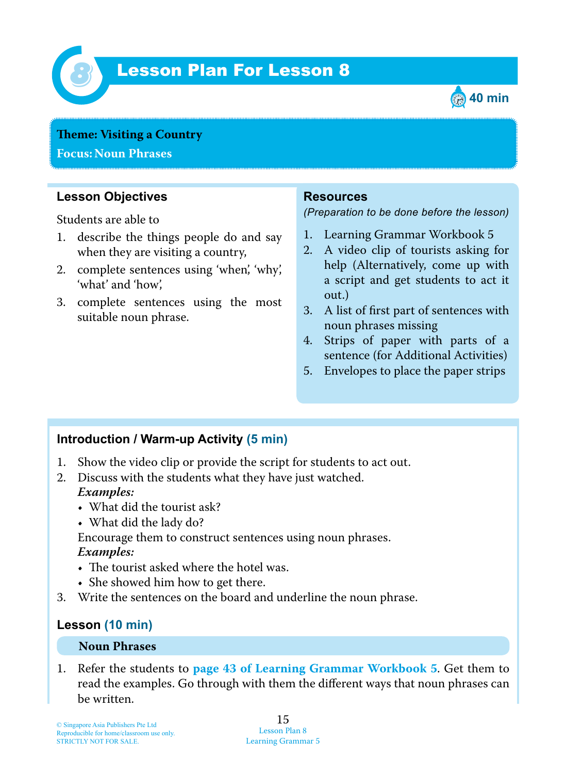

# *8* Lesson Plan For Lesson 8



#### **Theme: Visiting a Country**

**Focus: Noun Phrases**

## **Lesson Objectives**

Students are able to

- 1. describe the things people do and say when they are visiting a country,
- 2. complete sentences using 'when', 'why', 'what' and 'how',
- 3. complete sentences using the most suitable noun phrase.

### **Resources**

*(Preparation to be done before the lesson)*

- 1. Learning Grammar Workbook 5
- 2. A video clip of tourists asking for help (Alternatively, come up with a script and get students to act it out.)
- 3. A list of first part of sentences with noun phrases missing
- 4. Strips of paper with parts of a sentence (for Additional Activities)
- 5. Envelopes to place the paper strips

## **Introduction / Warm-up Activity (5 min)**

- 1. Show the video clip or provide the script for students to act out.
- 2. Discuss with the students what they have just watched.  *Examples:*
	- What did the tourist ask?
	- What did the lady do?

Encourage them to construct sentences using noun phrases.  *Examples:*

- The tourist asked where the hotel was.
- She showed him how to get there.
- 3. Write the sentences on the board and underline the noun phrase.

## **Lesson (10 min)**

#### **Noun Phrases**

1. Refer the students to **page 43 of Learning Grammar Workbook 5** . Get them to read the examples. Go through with them the different ways that noun phrases can be written.